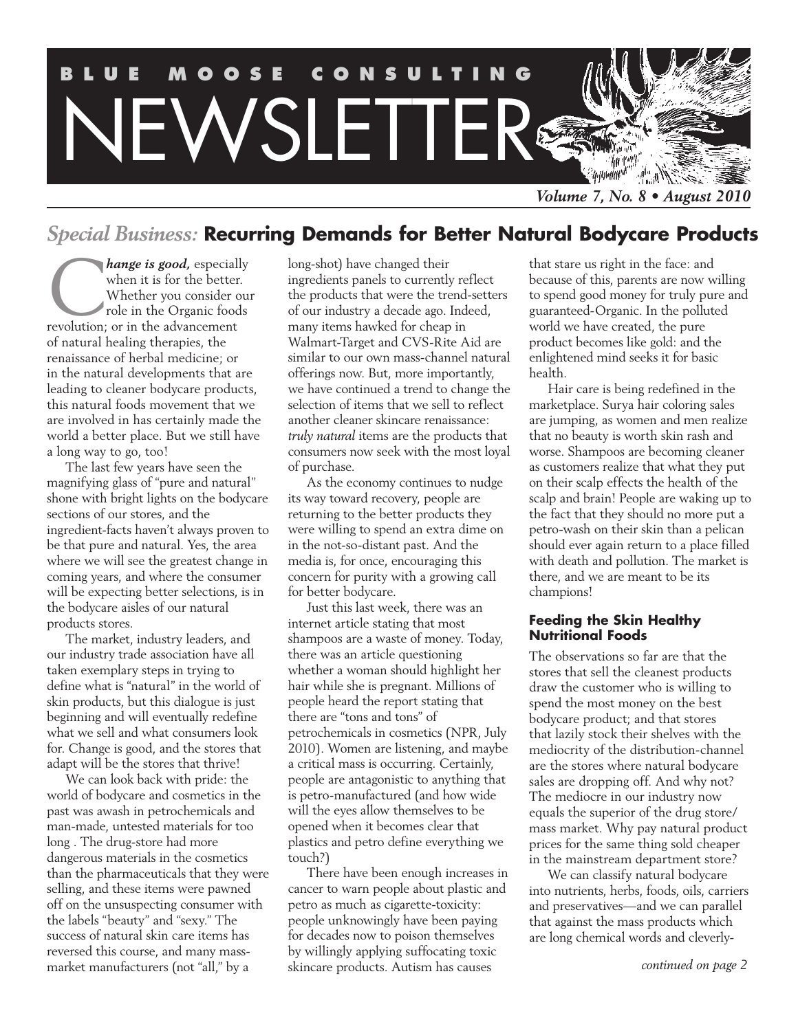

## *Special Business:* **Recurring Demands for Better Natural Bodycare Products**

**Canally** when it is for the better.<br>
Whether you consider our role in the Organic foods<br>
revolution; or in the advancement when it is for the better. Whether you consider our role in the Organic foods of natural healing therapies, the renaissance of herbal medicine; or in the natural developments that are leading to cleaner bodycare products, this natural foods movement that we are involved in has certainly made the world a better place. But we still have a long way to go, too!

The last few years have seen the magnifying glass of "pure and natural" shone with bright lights on the bodycare sections of our stores, and the ingredient-facts haven't always proven to be that pure and natural. Yes, the area where we will see the greatest change in coming years, and where the consumer will be expecting better selections, is in the bodycare aisles of our natural products stores.

The market, industry leaders, and our industry trade association have all taken exemplary steps in trying to define what is "natural" in the world of skin products, but this dialogue is just beginning and will eventually redefine what we sell and what consumers look for. Change is good, and the stores that adapt will be the stores that thrive!

We can look back with pride: the world of bodycare and cosmetics in the past was awash in petrochemicals and man-made, untested materials for too long . The drug-store had more dangerous materials in the cosmetics than the pharmaceuticals that they were selling, and these items were pawned off on the unsuspecting consumer with the labels "beauty" and "sexy." The success of natural skin care items has reversed this course, and many massmarket manufacturers (not "all," by a

long-shot) have changed their ingredients panels to currently reflect the products that were the trend-setters of our industry a decade ago. Indeed, many items hawked for cheap in Walmart-Target and CVS-Rite Aid are similar to our own mass-channel natural offerings now. But, more importantly, we have continued a trend to change the selection of items that we sell to reflect another cleaner skincare renaissance: *truly natural* items are the products that consumers now seek with the most loyal of purchase.

As the economy continues to nudge its way toward recovery, people are returning to the better products they were willing to spend an extra dime on in the not-so-distant past. And the media is, for once, encouraging this concern for purity with a growing call for better bodycare.

Just this last week, there was an internet article stating that most shampoos are a waste of money. Today, there was an article questioning whether a woman should highlight her hair while she is pregnant. Millions of people heard the report stating that there are "tons and tons" of petrochemicals in cosmetics (NPR, July 2010). Women are listening, and maybe a critical mass is occurring. Certainly, people are antagonistic to anything that is petro-manufactured (and how wide will the eyes allow themselves to be opened when it becomes clear that plastics and petro define everything we touch?)

There have been enough increases in cancer to warn people about plastic and petro as much as cigarette-toxicity: people unknowingly have been paying for decades now to poison themselves by willingly applying suffocating toxic skincare products. Autism has causes

that stare us right in the face: and because of this, parents are now willing to spend good money for truly pure and guaranteed-Organic. In the polluted world we have created, the pure product becomes like gold: and the enlightened mind seeks it for basic health.

Hair care is being redefined in the marketplace. Surya hair coloring sales are jumping, as women and men realize that no beauty is worth skin rash and worse. Shampoos are becoming cleaner as customers realize that what they put on their scalp effects the health of the scalp and brain! People are waking up to the fact that they should no more put a petro-wash on their skin than a pelican should ever again return to a place filled with death and pollution. The market is there, and we are meant to be its champions!

#### **Feeding the Skin Healthy Nutritional Foods**

The observations so far are that the stores that sell the cleanest products draw the customer who is willing to spend the most money on the best bodycare product; and that stores that lazily stock their shelves with the mediocrity of the distribution-channel are the stores where natural bodycare sales are dropping off. And why not? The mediocre in our industry now equals the superior of the drug store/ mass market. Why pay natural product prices for the same thing sold cheaper in the mainstream department store?

We can classify natural bodycare into nutrients, herbs, foods, oils, carriers and preservatives—and we can parallel that against the mass products which are long chemical words and cleverly-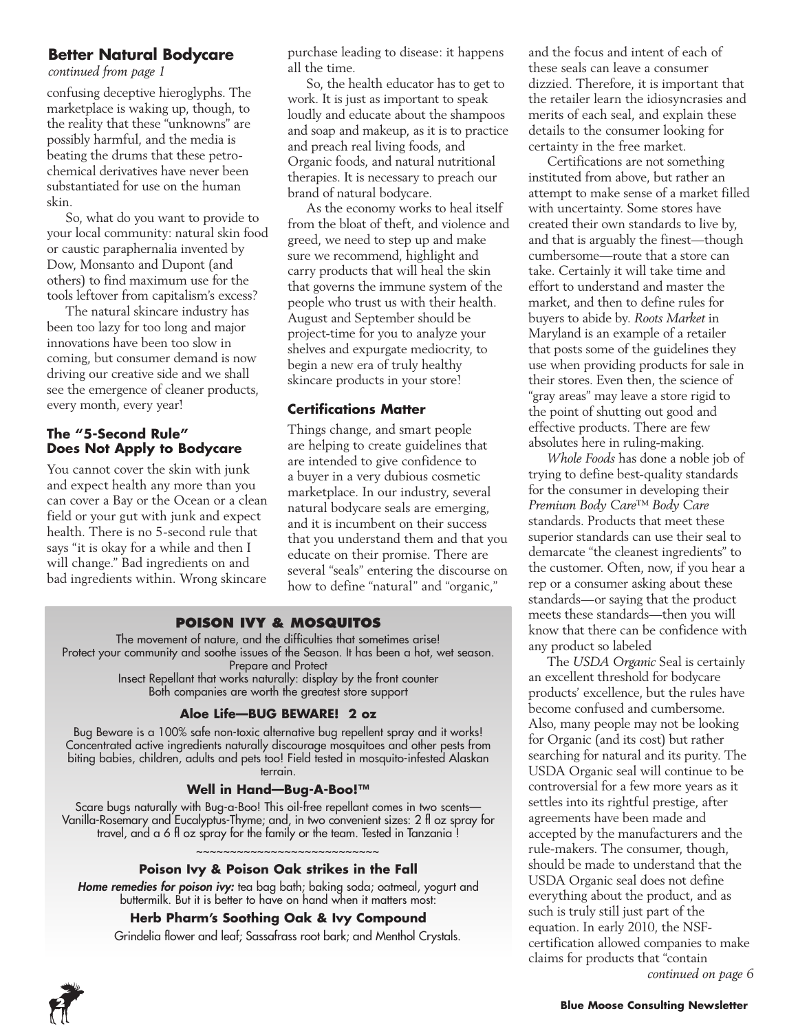### **Better Natural Bodycare**

*continued from page 1*

confusing deceptive hieroglyphs. The marketplace is waking up, though, to the reality that these "unknowns" are possibly harmful, and the media is beating the drums that these petrochemical derivatives have never been substantiated for use on the human skin.

So, what do you want to provide to your local community: natural skin food or caustic paraphernalia invented by Dow, Monsanto and Dupont (and others) to find maximum use for the tools leftover from capitalism's excess?

The natural skincare industry has been too lazy for too long and major innovations have been too slow in coming, but consumer demand is now driving our creative side and we shall see the emergence of cleaner products, every month, every year!

#### **The "5-Second Rule" Does Not Apply to Bodycare**

You cannot cover the skin with junk and expect health any more than you can cover a Bay or the Ocean or a clean field or your gut with junk and expect health. There is no 5-second rule that says "it is okay for a while and then I will change." Bad ingredients on and bad ingredients within. Wrong skincare

purchase leading to disease: it happens all the time.

So, the health educator has to get to work. It is just as important to speak loudly and educate about the shampoos and soap and makeup, as it is to practice and preach real living foods, and Organic foods, and natural nutritional therapies. It is necessary to preach our brand of natural bodycare.

As the economy works to heal itself from the bloat of theft, and violence and greed, we need to step up and make sure we recommend, highlight and carry products that will heal the skin that governs the immune system of the people who trust us with their health. August and September should be project-time for you to analyze your shelves and expurgate mediocrity, to begin a new era of truly healthy skincare products in your store!

### **Certifications Matter**

Things change, and smart people are helping to create guidelines that are intended to give confidence to a buyer in a very dubious cosmetic marketplace. In our industry, several natural bodycare seals are emerging, and it is incumbent on their success that you understand them and that you educate on their promise. There are several "seals" entering the discourse on how to define "natural" and "organic,"

## **Poison Ivy & Mosquitos**

The movement of nature, and the difficulties that sometimes arise! Protect your community and soothe issues of the Season. It has been a hot, wet season. Prepare and Protect Insect Repellant that works naturally: display by the front counter Both companies are worth the greatest store support

#### **Aloe Life—BUG BEWARE! 2 oz**

Bug Beware is a 100% safe non-toxic alternative bug repellent spray and it works! Concentrated active ingredients naturally discourage mosquitoes and other pests from biting babies, children, adults and pets too! Field tested in mosquito-infested Alaskan terrain.

#### **Well in Hand—Bug-A-Boo!™**

Scare bugs naturally with Bug-a-Boo! This oil-free repellant comes in two scents— Vanilla-Rosemary and Eucalyptus-Thyme; and, in two convenient sizes: 2 fl oz spray for travel, and a 6 fl oz spray for the family or the team. Tested in Tanzania !

#### **Poison Ivy & Poison Oak strikes in the Fall**

~~~~~~~~~~~~~~~~

*Home remedies for poison ivy:* tea bag bath; baking soda; oatmeal, yogurt and buttermilk. But it is better to have on hand when it matters most:

#### **Herb Pharm's Soothing Oak & Ivy Compound**

Grindelia flower and leaf; Sassafrass root bark; and Menthol Crystals.

and the focus and intent of each of these seals can leave a consumer dizzied. Therefore, it is important that the retailer learn the idiosyncrasies and merits of each seal, and explain these details to the consumer looking for certainty in the free market.

Certifications are not something instituted from above, but rather an attempt to make sense of a market filled with uncertainty. Some stores have created their own standards to live by, and that is arguably the finest—though cumbersome—route that a store can take. Certainly it will take time and effort to understand and master the market, and then to define rules for buyers to abide by. *Roots Market* in Maryland is an example of a retailer that posts some of the guidelines they use when providing products for sale in their stores. Even then, the science of "gray areas" may leave a store rigid to the point of shutting out good and effective products. There are few absolutes here in ruling-making.

*Whole Foods* has done a noble job of trying to define best-quality standards for the consumer in developing their *Premium Body Care™ Body Care* standards. Products that meet these superior standards can use their seal to demarcate "the cleanest ingredients" to the customer. Often, now, if you hear a rep or a consumer asking about these standards—or saying that the product meets these standards—then you will know that there can be confidence with any product so labeled

The *USDA Organic* Seal is certainly an excellent threshold for bodycare products' excellence, but the rules have become confused and cumbersome. Also, many people may not be looking for Organic (and its cost) but rather searching for natural and its purity. The USDA Organic seal will continue to be controversial for a few more years as it settles into its rightful prestige, after agreements have been made and accepted by the manufacturers and the rule-makers. The consumer, though, should be made to understand that the USDA Organic seal does not define everything about the product, and as such is truly still just part of the equation. In early 2010, the NSFcertification allowed companies to make claims for products that "contain *continued on page 6*

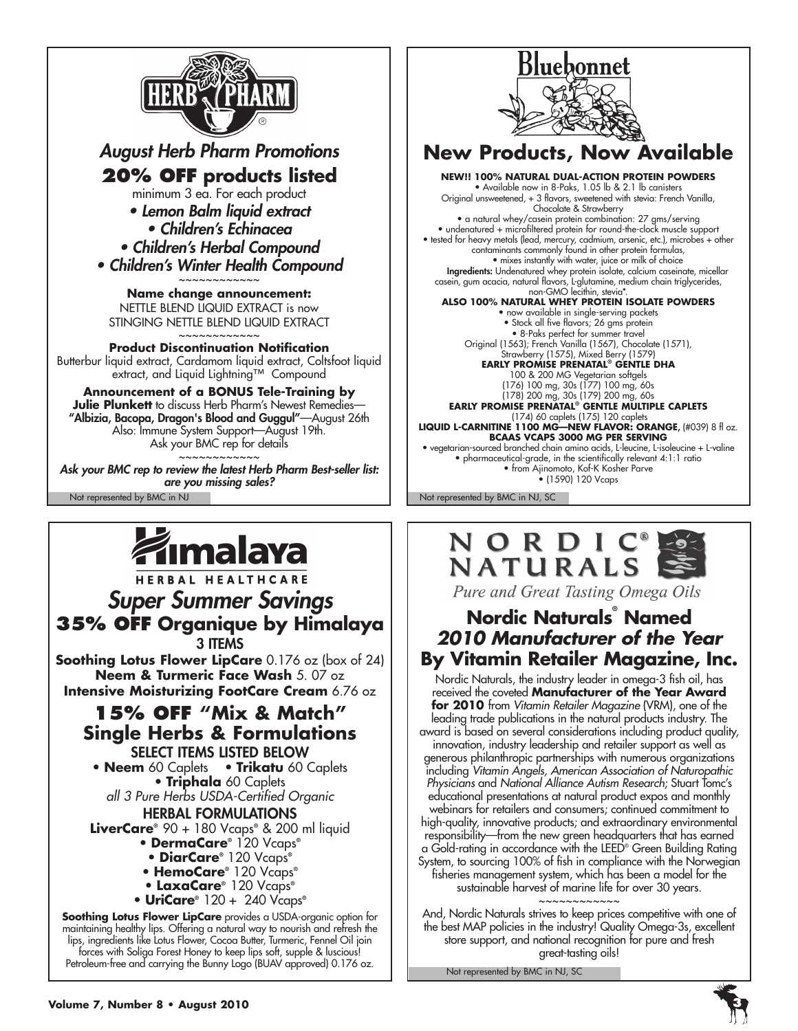

*August Herb Pharm Promotions* **20% off products listed** minimum 3 ea. For each product *• Lemon Balm liquid extract • Children's Echinacea • Children's Herbal Compound • Children's Winter Health Compound* ~~~~~~~~~~~~

**Name change announcement:** NETTLE BLEND LIQUID EXTRACT is now STINGING NETTLE BLEND LIQUID EXTRACT ~~~~~~~~~~~~

**Product Discontinuation Notification** Butterbur liquid extract, Cardamom liquid extract, Coltsfoot liquid extract, and Liquid Lightning™ Compound

**Announcement of a BONUS Tele-Training by Julie Plunkett** to discuss Herb Pharm's Newest Remedies— "Albizia, Bacopa, Dragon's Blood and Guggul"—August 26th Also: Immune System Support—August 19th. Ask your BMC rep for details ~~~~~~~~~~~~

Not represented by BMC in NJ Not represented by BMC in NJ, SC *Ask your BMC rep to review the latest Herb Pharm Best-seller list: are you missing sales?*



HERBAL HEALTHCARE *Super Summer Savings* **35% OFF Organique by Himalaya** 3 items **Soothing Lotus Flower LipCare** 0.176 oz (box of 24) **Neem & Turmeric Face Wash** 5. 07 oz **Intensive Moisturizing FootCare Cream** 6.76 oz **15% OFF "Mix & Match" Single Herbs & Formulations** select items listed below • **Neem** 60 Caplets • **Trikatu** 60 Caplets • **Triphala** 60 Caplets *all 3 Pure Herbs USDA-Certified Organic* Herbal Formulations

**LiverCare®** 90 + 180 Vcaps**®** & 200 ml liquid

- **DermaCare®** 120 Vcaps**®**
- **DiarCare®** 120 Vcaps**®**
- **HemoCare®** 120 Vcaps**®**
- **LaxaCare®** 120 Vcaps**®** • **UriCare®** 120 + 240 Vcaps**®**

**Soothing Lotus Flower LipCare** provides a USDA-organic option for maintaining healthy lips. Offering a natural way to nourish and refresh the lips, ingredients like Lotus Flower, Cocoa Butter, Turmeric, Fennel Oil join forces with Soliga Forest Honey to keep lips soft, supple & luscious! Petroleum-free and carrying the Bunny Logo (BUAV approved) 0.176 oz.



(178) 200 mg, 30s (179) 200 mg, 60s **EARLY PROMISE PRENATAL® GENTLE MULTIPLE CAPLETS** (174) 60 caplets (175) 120 caplets **Liquid L-Carnitine 1100 mg—New flavor: Orange**, (#039) 8 fl oz. **BCAAs Vcaps 3000 mg per serving** • vegetarian-sourced branched chain amino acids, L-leucine, L-isoleucine + L-valine • pharmaceutical-grade, in the scientifically relevant 4:1:1 ratio • from Ajinomoto, Kof-K Kosher Parve • (1590) 120 Vcaps



Pure and Great Tasting Omega Oils

## **Nordic Naturals® Named** *2010 Manufacturer of the Year* **By Vitamin Retailer Magazine, Inc.**

Nordic Naturals, the industry leader in omega-3 fish oil, has received the coveted **Manufacturer of the Year Award for 2010** from *Vitamin Retailer Magazine* (VRM), one of the leading trade publications in the natural products industry. The award is based on several considerations including product quality, innovation, industry leadership and retailer support as well as generous philanthropic partnerships with numerous organizations including *Vitamin Angels, American Association of Naturopathic Physicians* and *National Alliance Autism Research*; Stuart Tomc's educational presentations at natural product expos and monthly webinars for retailers and consumers; continued commitment to high-quality, innovative products; and extraordinary environmental responsibility—from the new green headquarters that has earned a Gold-rating in accordance with the LEED® Green Building Rating System, to sourcing 100% of fish in compliance with the Norwegian fisheries management system, which has been a model for the sustainable harvest of marine life for over 30 years.

~~~~~~~~~~~~ And, Nordic Naturals strives to keep prices competitive with one of the best MAP policies in the industry! Quality Omega-3s, excellent store support, and national recognition for pure and fresh great-tasting oils!

Not represented by BMC in NJ, SC

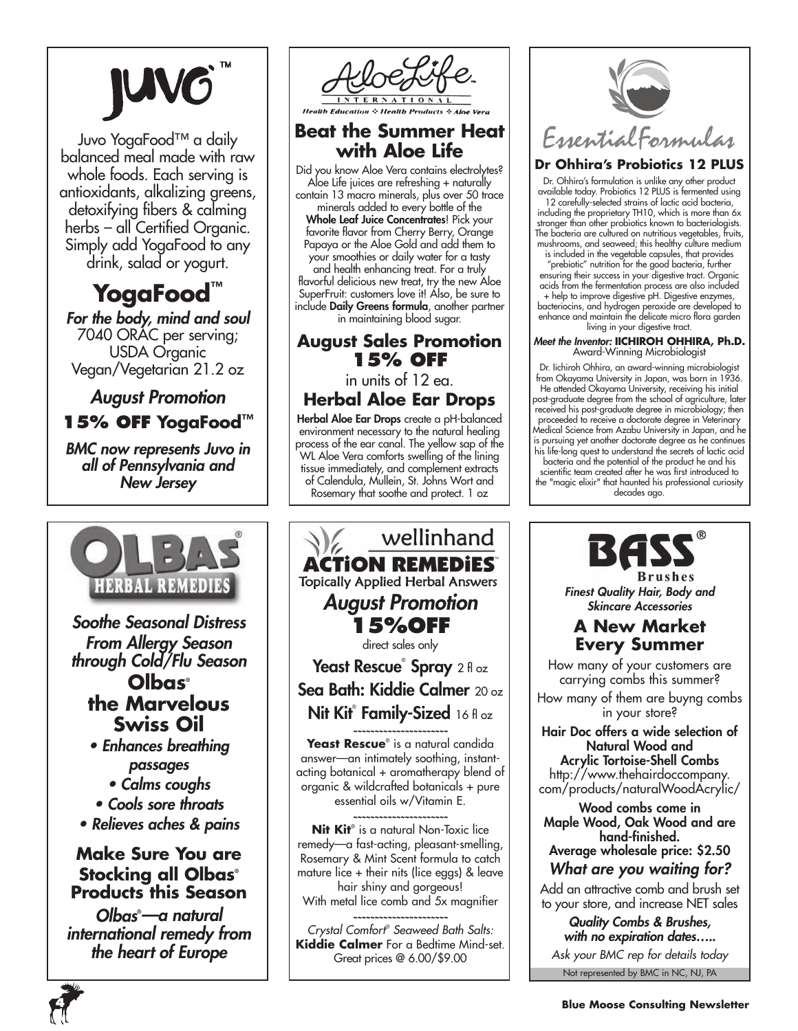Juvo YogaFood™ a daily balanced meal made with raw whole foods. Each serving is antioxidants, alkalizing greens, detoxifying fibers & calming herbs – all Certified Organic. Simply add YogaFood to any drink, salad or yogurt.

# **YogaFood™**

*For the body, mind and soul* 7040 ORAC per serving; USDA Organic Vegan/Vegetarian 21.2 oz

## *August Promotion*

**15% off YogaFood™**

*BMC now represents Juvo in all of Pennsylvania and New Jersey*



*Soothe Seasonal Distress From Allergy Season through Cold/Flu Season*

## **Olbas® the Marvelous Swiss Oil**

*• Enhances breathing passages*

*• Calms coughs*

*• Cools sore throats • Relieves aches & pains*

## **Make Sure You are Stocking all Olbas®**

**Products this Season** *Olbas***®** *—a natural* 

*international remedy from the heart of Europe*



## **Beat the Summer Heat with Aloe Life**

Did you know Aloe Vera contains electrolytes? Aloe Life juices are refreshing + naturally contain 13 macro minerals, plus over 50 trace minerals added to every bottle of the Whole Leaf Juice Concentrates! Pick your favorite flavor from Cherry Berry, Orange Papaya or the Aloe Gold and add them to your smoothies or daily water for a tasty and health enhancing treat. For a truly flavorful delicious new treat, try the new Aloe SuperFruit: customers love it! Also, be sure to include Daily Greens formula, another partner

## in maintaining blood sugar. **August Sales Promotion**

**15% off** 

### in units of 12 ea. **Herbal Aloe Ear Drops**

Herbal Aloe Ear Drops create a pH-balanced environment necessary to the natural healing process of the ear canal. The yellow sap of the WL Aloe Vera comforts swelling of the lining tissue immediately, and complement extracts of Calendula, Mullein, St. Johns Wort and Rosemary that soothe and protect. 1 oz



**Kiddie Calmer** For a Bedtime Mind-set. Great prices @ 6.00/\$9.00



## **Dr Ohhira's Probiotics 12 PLUS**

Dr. Ohhira's formulation is unlike any other product available today. Probiotics 12 PLUS is fermented using 12 carefully-selected strains of lactic acid bacteria, including the proprietary TH10, which is more than 6x stronger than other probiotics known to bacteriologists. The bacteria are cultured on nutritious vegetables, fruits, mushrooms, and seaweed; this healthy culture medium

is included in the vegetable capsules, that provides "prebiotic" nutrition for the good bacteria, further ensuring their success in your digestive tract. Organic acids from the fermentation process are also included

+ help to improve digestive pH. Digestive enzymes, bacteriocins, and hydrogen peroxide are developed to enhance and maintain the delicate micro flora garden living in your digestive tract.

#### *Meet the Inventor:* **IICHIROH OHHIRA, Ph.D.** Award-Winning Microbiologist

Dr. Iichiroh Ohhira, an award-winning microbiologist from Okayama University in Japan, was born in 1936. He attended Okayama University, receiving his initial post-graduate degree from the school of agriculture, later received his post-graduate degree in microbiology; then proceeded to receive a doctorate degree in Veterinary Medical Science from Azabu University in Japan, and he is pursuing yet another doctorate degree as he continues his life-long quest to understand the secrets of lactic acid bacteria and the potential of the product he and his

scientific team created after he was first introduced to the "magic elixir" that haunted his professional curiosity decades ago.



*Finest Quality Hair, Body and Skincare Accessories*

## **A New Market Every Summer**

How many of your customers are carrying combs this summer? How many of them are buyng combs

in your store?

Hair Doc offers a wide selection of Natural Wood and

Acrylic Tortoise-Shell Combs http://www.thehairdoccompany. com/products/naturalWoodAcrylic/

Wood combs come in Maple Wood, Oak Wood and are hand-finished. Average wholesale price: \$2.50

*What are you waiting for?*

Add an attractive comb and brush set to your store, and increase NET sales

Not represented by BMC in NC, NJ, PA *Quality Combs & Brushes, with no expiration dates….. Ask your BMC rep for details today*

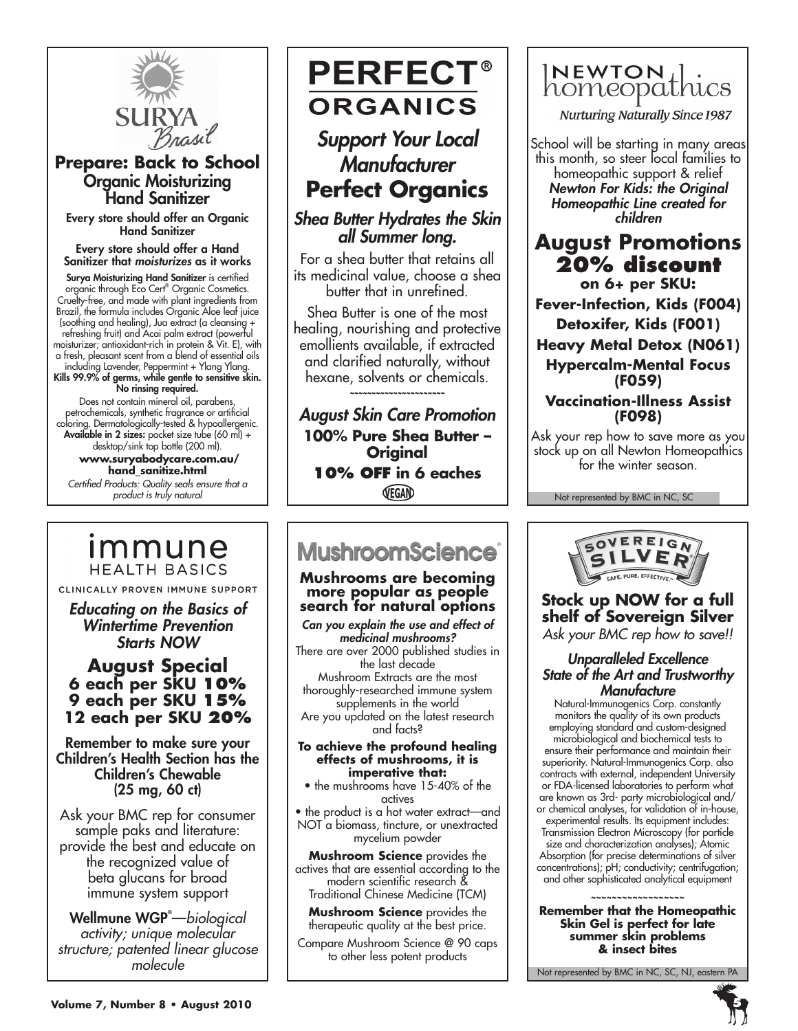

## **Prepare: Back to School** Organic Moisturizing Hand Sanitizer

Every store should offer an Organic Hand Sanitizer

Every store should offer a Hand Sanitizer that *moisturizes* as it works

Surya Moisturizing Hand Sanitizer is certified organic through Eco Cert® Organic Cosmetics. Cruelty-free, and made with plant ingredients from Brazil, the formula includes Organic Aloe leaf juice (soothing and healing), Jua extract (a cleansing + refreshing fruit) and Acai palm extract (powerful moisturizer; antioxidant-rich in protein & Vit. E), with a fresh, pleasant scent from a blend of essential oils including Lavender, Peppermint + Ylang Ylang.

Kills 99.9% of germs, while gentle to sensitive skin. No rinsing required.

Does not contain mineral oil, parabens, petrochemicals, synthetic fragrance or artificial coloring. Dermatologically-tested & hypoallergenic. Available in 2 sizes: pocket size tube (60 ml) + desktop/sink top bottle (200 ml).

 **www.suryabodycare.com.au/ hand\_sanitize.html**

*Certified Products: Quality seals ensure that a product is truly natural*

## <u>Immune</u> **HEALTH BASICS**

CLINICALLY PROVEN IMMUNE SUPPORT

*Educating on the Basics of Wintertime Prevention Starts NOW*

## **August Special 6 each per SKU 10% 9 each per SKU 15% 12 each per SKU 20%**

Remember to make sure your Children's Health Section has the Children's Chewable (25 mg, 60 ct)

Ask your BMC rep for consumer sample paks and literature: provide the best and educate on the recognized value of beta glucans for broad immune system support

Wellmune WGP® —*biological activity; unique molecular structure; patented linear glucose molecule*

## **PERFECT® ORGANICS**

*Support Your Local Manufacturer* **Perfect Organics**

*Shea Butter Hydrates the Skin all Summer long.*

For a shea butter that retains all its medicinal value, choose a shea butter that in unrefined.

Shea Butter is one of the most healing, nourishing and protective emollients available, if extracted and clarified naturally, without hexane, solvents or chemicals.

*~~~~~~~~~~~~~~~~~~~~~~*

*August Skin Care Promotion* **100% Pure Shea Butter – Original 10% OFF in 6 eaches**

VEGAN

## **MushroomScience**

#### **Mushrooms are becoming more popular as people search for natural options**

*Can you explain the use and effect of medicinal mushrooms?* There are over 2000 published studies in the last decade Mushroom Extracts are the most thoroughly-researched immune system supplements in the world Are you updated on the latest research and facts?

#### **To achieve the profound healing effects of mushrooms, it is imperative that:**

• the mushrooms have 15-40% of the actives

• the product is a hot water extract—and NOT a biomass, tincture, or unextracted mycelium powder

**Mushroom Science** provides the actives that are essential according to the modern scientific research & Traditional Chinese Medicine (TCM)

**Mushroom Science** provides the therapeutic quality at the best price.

Compare Mushroom Science @ 90 caps to other less potent products



**Nurturing Naturally Since 1987** 

School will be starting in many areas this month, so steer local families to homeopathic support & relief *Newton For Kids: the Original Homeopathic Line created for children*

## **August Promotions 20% discount on 6+ per SKU:**

**Fever-Infection, Kids (F004)**

**Detoxifer, Kids (F001)**

**Heavy Metal Detox (N061) Hypercalm-Mental Focus** 

**(F059) Vaccination-Illness Assist (F098)**

Ask your rep how to save more as you stock up on all Newton Homeopathics for the winter season.

Not represented by BMC in NC, SC



## **Stock up NOW for a full shelf of Sovereign Silver** *Ask your BMC rep how to save!!*

## *Unparalleled Excellence State of the Art and Trustworthy Manufacture*

Natural-Immunogenics Corp. constantly monitors the quality of its own products employing standard and custom-designed microbiological and biochemical tests to ensure their performance and maintain their superiority. Natural-Immunogenics Corp. also contracts with external, independent University or FDA-licensed laboratories to perform what are known as 3rd- party microbiological and/ or chemical analyses, for validation of in-house,

experimental results. Its equipment includes: Transmission Electron Microscopy (for particle size and characterization analyses); Atomic Absorption (for precise determinations of silver concentrations); pH; conductivity; centrifugation; and other sophisticated analytical equipment

**~~~~~~~~~~~~~~~~~~ Remember that the Homeopathic Skin Gel is perfect for late summer skin problems & insect bites**

Not represented by BMC in NC, SC, NJ, eastern PA

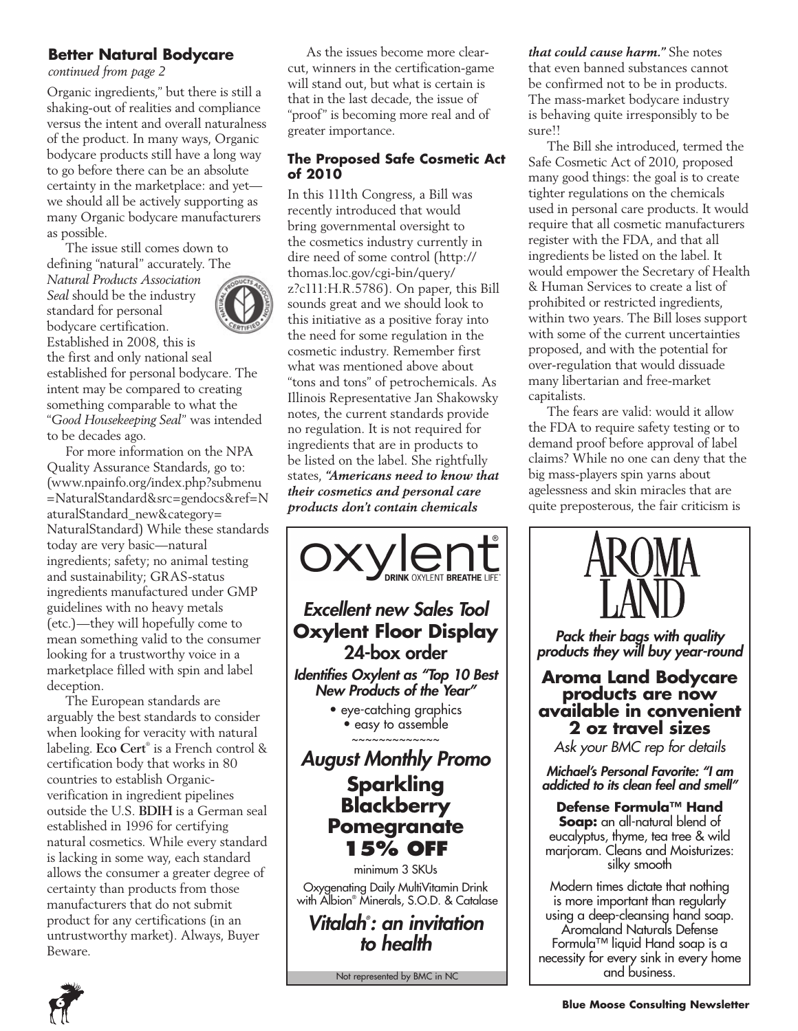## **Better Natural Bodycare**

*continued from page 2*

Organic ingredients," but there is still a shaking-out of realities and compliance versus the intent and overall naturalness of the product. In many ways, Organic bodycare products still have a long way to go before there can be an absolute certainty in the marketplace: and yet we should all be actively supporting as many Organic bodycare manufacturers as possible.

The issue still comes down to defining "natural" accurately. The

*Natural Products Association Seal* should be the industry standard for personal bodycare certification. Established in 2008, this is the first and only national seal established for personal bodycare. The intent may be compared to creating something comparable to what the "*Good Housekeeping Seal*" was intended to be decades ago.

For more information on the NPA Quality Assurance Standards, go to: (www.npainfo.org/index.php?submenu =NaturalStandard&src=gendocs&ref=N aturalStandard\_new&category= NaturalStandard) While these standards today are very basic—natural ingredients; safety; no animal testing and sustainability; GRAS-status ingredients manufactured under GMP guidelines with no heavy metals (etc.)—they will hopefully come to mean something valid to the consumer looking for a trustworthy voice in a marketplace filled with spin and label deception.

The European standards are arguably the best standards to consider when looking for veracity with natural labeling. **Eco Cert**® is a French control & certification body that works in 80 countries to establish Organicverification in ingredient pipelines outside the U.S. **BDIH** is a German seal established in 1996 for certifying natural cosmetics. While every standard is lacking in some way, each standard allows the consumer a greater degree of certainty than products from those manufacturers that do not submit product for any certifications (in an untrustworthy market). Always, Buyer Beware.

As the issues become more clearcut, winners in the certification-game will stand out, but what is certain is that in the last decade, the issue of "proof" is becoming more real and of greater importance.

### **The Proposed Safe Cosmetic Act of 2010**

In this 111th Congress, a Bill was recently introduced that would bring governmental oversight to the cosmetics industry currently in dire need of some control (http:// thomas.loc.gov/cgi-bin/query/ z?c111:H.R.5786). On paper, this Bill sounds great and we should look to this initiative as a positive foray into the need for some regulation in the cosmetic industry. Remember first what was mentioned above about "tons and tons" of petrochemicals. As Illinois Representative Jan Shakowsky notes, the current standards provide no regulation. It is not required for ingredients that are in products to be listed on the label. She rightfully states, *"Americans need to know that their cosmetics and personal care products don't contain chemicals* 



Not represented by BMC in NC

*that could cause harm."* She notes that even banned substances cannot be confirmed not to be in products. The mass-market bodycare industry is behaving quite irresponsibly to be sure!!

The Bill she introduced, termed the Safe Cosmetic Act of 2010, proposed many good things: the goal is to create tighter regulations on the chemicals used in personal care products. It would require that all cosmetic manufacturers register with the FDA, and that all ingredients be listed on the label. It would empower the Secretary of Health & Human Services to create a list of prohibited or restricted ingredients, within two years. The Bill loses support with some of the current uncertainties proposed, and with the potential for over-regulation that would dissuade many libertarian and free-market capitalists.

The fears are valid: would it allow the FDA to require safety testing or to demand proof before approval of label claims? While no one can deny that the big mass-players spin yarns about agelessness and skin miracles that are quite preposterous, the fair criticism is



*Pack their bags with quality products they will buy year-round*

## **Aroma Land Bodycare products are now available in convenient 2 oz travel sizes**

*Ask your BMC rep for details*

*Michael's Personal Favorite: "I am addicted to its clean feel and smell"*

## **Defense Formula™ Hand**

**Soap:** an all-natural blend of eucalyptus, thyme, tea tree & wild marjoram. Cleans and Moisturizes: silky smooth

Modern times dictate that nothing is more important than regularly using a deep-cleansing hand soap. Aromaland Naturals Defense Formula™ liquid Hand soap is a necessity for every sink in every home and business.



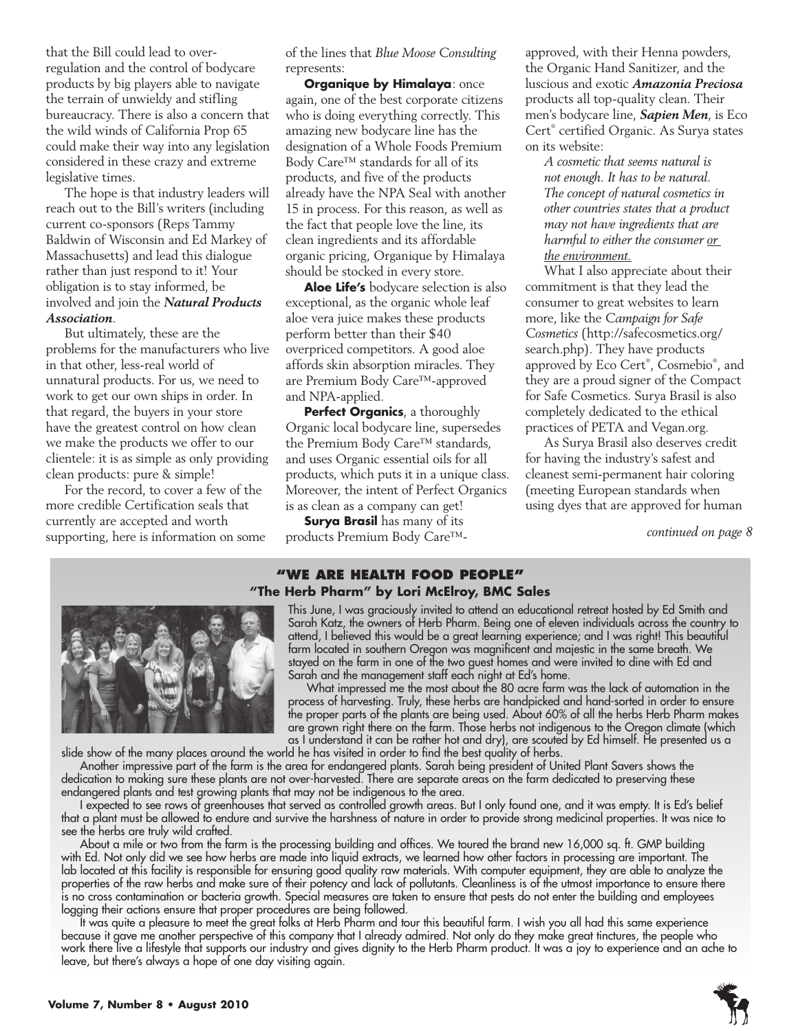that the Bill could lead to overregulation and the control of bodycare products by big players able to navigate the terrain of unwieldy and stifling bureaucracy. There is also a concern that the wild winds of California Prop 65 could make their way into any legislation considered in these crazy and extreme legislative times.

The hope is that industry leaders will reach out to the Bill's writers (including current co-sponsors (Reps Tammy Baldwin of Wisconsin and Ed Markey of Massachusetts) and lead this dialogue rather than just respond to it! Your obligation is to stay informed, be involved and join the *Natural Products Association*.

But ultimately, these are the problems for the manufacturers who live in that other, less-real world of unnatural products. For us, we need to work to get our own ships in order. In that regard, the buyers in your store have the greatest control on how clean we make the products we offer to our clientele: it is as simple as only providing clean products: pure & simple!

For the record, to cover a few of the more credible Certification seals that currently are accepted and worth supporting, here is information on some of the lines that *Blue Moose Consulting*  represents:

**Organique by Himalaya: once** again, one of the best corporate citizens who is doing everything correctly. This amazing new bodycare line has the designation of a Whole Foods Premium Body Care™ standards for all of its products, and five of the products already have the NPA Seal with another 15 in process. For this reason, as well as the fact that people love the line, its clean ingredients and its affordable organic pricing, Organique by Himalaya should be stocked in every store.

**Aloe Life's** bodycare selection is also exceptional, as the organic whole leaf aloe vera juice makes these products perform better than their \$40 overpriced competitors. A good aloe affords skin absorption miracles. They are Premium Body Care™-approved and NPA-applied.

**Perfect Organics**, a thoroughly Organic local bodycare line, supersedes the Premium Body Care™ standards, and uses Organic essential oils for all products, which puts it in a unique class. Moreover, the intent of Perfect Organics is as clean as a company can get!

**Surya Brasil** has many of its products Premium Body Care™- approved, with their Henna powders, the Organic Hand Sanitizer, and the luscious and exotic *Amazonia Preciosa* products all top-quality clean. Their men's bodycare line, *Sapien Men*, is Eco Cert® certified Organic. As Surya states on its website:

*A cosmetic that seems natural is not enough. It has to be natural. The concept of natural cosmetics in other countries states that a product may not have ingredients that are harmful to either the consumer or the environment.*

What I also appreciate about their commitment is that they lead the consumer to great websites to learn more, like the *Campaign for Safe Cosmetics* (http://safecosmetics.org/ search.php). They have products approved by Eco Cert® , Cosmebio® , and they are a proud signer of the Compact for Safe Cosmetics. Surya Brasil is also completely dedicated to the ethical practices of PETA and Vegan.org.

As Surya Brasil also deserves credit for having the industry's safest and cleanest semi-permanent hair coloring (meeting European standards when using dyes that are approved for human

*continued on page 8*

### **"We Are health food people" "The Herb Pharm" by Lori McElroy, BMC Sales**



This June, I was graciously invited to attend an educational retreat hosted by Ed Smith and Sarah Katz, the owners of Herb Pharm. Being one of eleven individuals across the country to attend, I believed this would be a great learning experience; and I was right! This beautiful farm located in southern Oregon was magnificent and majestic in the same breath. We stayed on the farm in one of the two guest homes and were invited to dine with Ed and Sarah and the management staff each night at Ed's home.

What impressed me the most about the 80 acre farm was the lack of automation in the process of harvesting. Truly, these herbs are handpicked and hand-sorted in order to ensure the proper parts of the plants are being used. About 60% of all the herbs Herb Pharm makes are grown right there on the farm. Those herbs not indigenous to the Oregon climate (which as I understand it can be rather hot and dry), are scouted by Ed himself. He presented us a

slide show of the many places around the world he has visited in order to find the best quality of herbs.

Another impressive part of the farm is the area for endangered plants. Sarah being president of United Plant Savers shows the dedication to making sure these plants are not over-harvested. There are separate areas on the farm dedicated to preserving these endangered plants and test growing plants that may not be indigenous to the area.

I expected to see rows of greenhouses that served as controlled growth areas. But I only found one, and it was empty. It is Ed's belief that a plant must be allowed to endure and survive the harshness of nature in order to provide strong medicinal properties. It was nice to see the herbs are truly wild crafted.

About a mile or two from the farm is the processing building and offices. We toured the brand new 16,000 sq. ft. GMP building with Ed. Not only did we see how herbs are made into liquid extracts, we learned how other factors in processing are important. The lab located at this facility is responsible for ensuring good quality raw materials. With computer equipment, they are able to analyze the properties of the raw herbs and make sure of their potency and lack of pollutants. Cleanliness is of the utmost importance to ensure there is no cross contamination or bacteria growth. Special measures are taken to ensure that pests do not enter the building and employees logging their actions ensure that proper procedures are being followed.

It was quite a pleasure to meet the great folks at Herb Pharm and tour this beautiful farm. I wish you all had this same experience because it gave me another perspective of this company that I already admired. Not only do they make great tinctures, the people who work there live a lifestyle that supports our industry and gives dignity to the Herb Pharm product. It was a joy to experience and an ache to leave, but there's always a hope of one day visiting again.